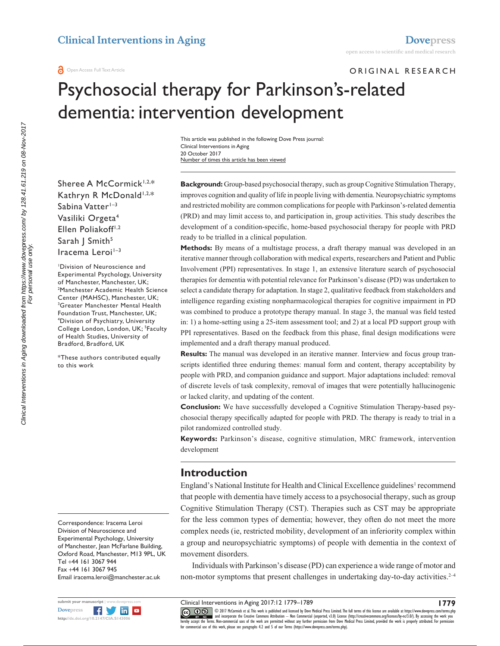Open Access Full Text Article

## ORIGINAL RESEARCH

# Psychosocial therapy for Parkinson's-related dementia: intervention development

Number of times this article has been viewed This article was published in the following Dove Press journal: Clinical Interventions in Aging 20 October 2017

Sheree A McCormick<sup>1,2,\*</sup> Kathryn R McDonald<sup>1,2,\*</sup> Sabina Vatter<sup>1-3</sup> Vasiliki Orgeta4 Ellen Poliakoff<sup>1,2</sup> Sarah J Smith<sup>5</sup> Iracema Leroi<sup>1-3</sup>

1 Division of Neuroscience and Experimental Psychology, University of Manchester, Manchester, UK; 2 Manchester Academic Health Science Center (MAHSC), Manchester, UK; 3 Greater Manchester Mental Health Foundation Trust, Manchester, UK; 4 Division of Psychiatry, University College London, London, UK; <sup>5</sup>Faculty of Health Studies, University of Bradford, Bradford, UK

\*These authors contributed equally to this work

Correspondence: Iracema Leroi Division of Neuroscience and Experimental Psychology, University of Manchester, Jean McFarlane Building, Oxford Road, Manchester, M13 9PL, UK Tel +44 161 3067 944 Fax +44 161 3067 945 Email [iracema.leroi@manchester.ac.uk](mailto:iracema.leroi@manchester.ac.uk)



**Background:** Group-based psychosocial therapy, such as group Cognitive Stimulation Therapy, improves cognition and quality of life in people living with dementia. Neuropsychiatric symptoms and restricted mobility are common complications for people with Parkinson's-related dementia (PRD) and may limit access to, and participation in, group activities. This study describes the development of a condition-specific, home-based psychosocial therapy for people with PRD ready to be trialled in a clinical population.

**Methods:** By means of a multistage process, a draft therapy manual was developed in an iterative manner through collaboration with medical experts, researchers and Patient and Public Involvement (PPI) representatives. In stage 1, an extensive literature search of psychosocial therapies for dementia with potential relevance for Parkinson's disease (PD) was undertaken to select a candidate therapy for adaptation. In stage 2, qualitative feedback from stakeholders and intelligence regarding existing nonpharmacological therapies for cognitive impairment in PD was combined to produce a prototype therapy manual. In stage 3, the manual was field tested in: 1) a home-setting using a 25-item assessment tool; and 2) at a local PD support group with PPI representatives. Based on the feedback from this phase, final design modifications were implemented and a draft therapy manual produced.

**Results:** The manual was developed in an iterative manner. Interview and focus group transcripts identified three enduring themes: manual form and content, therapy acceptability by people with PRD, and companion guidance and support. Major adaptations included: removal of discrete levels of task complexity, removal of images that were potentially hallucinogenic or lacked clarity, and updating of the content.

**Conclusion:** We have successfully developed a Cognitive Stimulation Therapy-based psychosocial therapy specifically adapted for people with PRD. The therapy is ready to trial in a pilot randomized controlled study.

**Keywords:** Parkinson's disease, cognitive stimulation, MRC framework, intervention development

# **Introduction**

England's National Institute for Health and Clinical Excellence guidelines<sup>1</sup> recommend that people with dementia have timely access to a psychosocial therapy, such as group Cognitive Stimulation Therapy (CST). Therapies such as CST may be appropriate for the less common types of dementia; however, they often do not meet the more complex needs (ie, restricted mobility, development of an inferiority complex within a group and neuropsychiatric symptoms) of people with dementia in the context of movement disorders.

Individuals with Parkinson's disease (PD) can experience a wide range of motor and non-motor symptoms that present challenges in undertaking day-to-day activities.<sup>2-4</sup>

CCC 1 © 2017 McCormick et al. This work is published and licensed by Dove Medical Press Limited. The full terms of this license are available at <https://www.dovepress.com/terms.php><br>[hereby accept the Terms](http://www.dovepress.com/permissions.php). Non-commercial u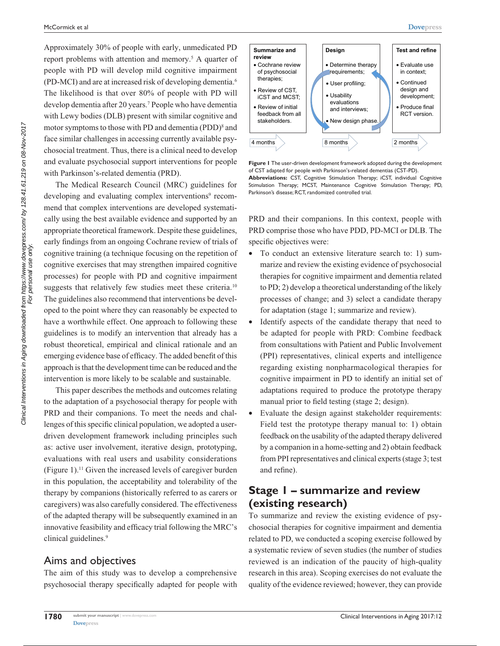Approximately 30% of people with early, unmedicated PD report problems with attention and memory.<sup>5</sup> A quarter of people with PD will develop mild cognitive impairment (PD-MCI) and are at increased risk of developing dementia.6 The likelihood is that over 80% of people with PD will develop dementia after 20 years.7 People who have dementia with Lewy bodies (DLB) present with similar cognitive and motor symptoms to those with PD and dementia (PDD)<sup>8</sup> and face similar challenges in accessing currently available psychosocial treatment. Thus, there is a clinical need to develop and evaluate psychosocial support interventions for people with Parkinson's-related dementia (PRD).

The Medical Research Council (MRC) guidelines for developing and evaluating complex interventions<sup>9</sup> recommend that complex interventions are developed systematically using the best available evidence and supported by an appropriate theoretical framework. Despite these guidelines, early findings from an ongoing Cochrane review of trials of cognitive training (a technique focusing on the repetition of cognitive exercises that may strengthen impaired cognitive processes) for people with PD and cognitive impairment suggests that relatively few studies meet these criteria.<sup>10</sup> The guidelines also recommend that interventions be developed to the point where they can reasonably be expected to have a worthwhile effect. One approach to following these guidelines is to modify an intervention that already has a robust theoretical, empirical and clinical rationale and an emerging evidence base of efficacy. The added benefit of this approach is that the development time can be reduced and the intervention is more likely to be scalable and sustainable.

This paper describes the methods and outcomes relating to the adaptation of a psychosocial therapy for people with PRD and their companions. To meet the needs and challenges of this specific clinical population, we adopted a userdriven development framework including principles such as: active user involvement, iterative design, prototyping, evaluations with real users and usability considerations (Figure 1).11 Given the increased levels of caregiver burden in this population, the acceptability and tolerability of the therapy by companions (historically referred to as carers or caregivers) was also carefully considered. The effectiveness of the adapted therapy will be subsequently examined in an innovative feasibility and efficacy trial following the MRC's clinical guidelines.<sup>9</sup>

## Aims and objectives

The aim of this study was to develop a comprehensive psychosocial therapy specifically adapted for people with



**Figure 1** The user-driven development framework adopted during the development of CST adapted for people with Parkinson's-related dementias (CST-PD). **Abbreviations:** CST, Cognitive Stimulation Therapy; iCST, individual Cognitive Stimulation Therapy; MCST, Maintenance Cognitive Stimulation Therapy; PD, Parkinson's disease; RCT, randomized controlled trial.

PRD and their companions. In this context, people with PRD comprise those who have PDD, PD-MCI or DLB. The specific objectives were:

- To conduct an extensive literature search to: 1) summarize and review the existing evidence of psychosocial therapies for cognitive impairment and dementia related to PD; 2) develop a theoretical understanding of the likely processes of change; and 3) select a candidate therapy for adaptation (stage 1; summarize and review).
- Identify aspects of the candidate therapy that need to be adapted for people with PRD: Combine feedback from consultations with Patient and Public Involvement (PPI) representatives, clinical experts and intelligence regarding existing nonpharmacological therapies for cognitive impairment in PD to identify an initial set of adaptations required to produce the prototype therapy manual prior to field testing (stage 2; design).
- Evaluate the design against stakeholder requirements: Field test the prototype therapy manual to: 1) obtain feedback on the usability of the adapted therapy delivered by a companion in a home-setting and 2) obtain feedback from PPI representatives and clinical experts (stage 3; test and refine).

# **Stage 1 – summarize and review (existing research)**

To summarize and review the existing evidence of psychosocial therapies for cognitive impairment and dementia related to PD, we conducted a scoping exercise followed by a systematic review of seven studies (the number of studies reviewed is an indication of the paucity of high-quality research in this area). Scoping exercises do not evaluate the quality of the evidence reviewed; however, they can provide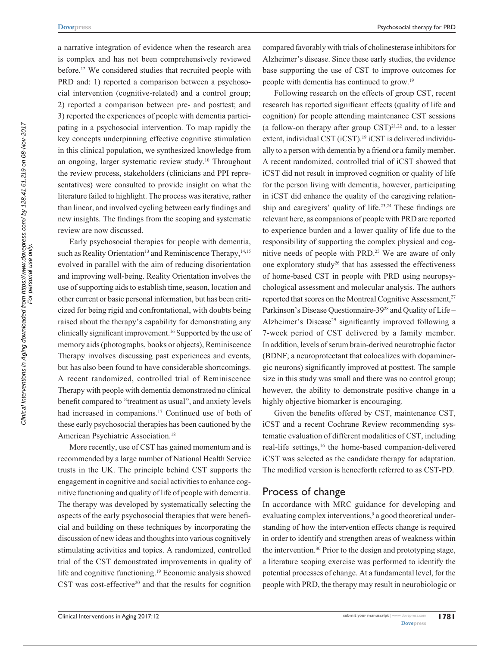Psychosocial therapy for PRD

a narrative integration of evidence when the research area is complex and has not been comprehensively reviewed before.12 We considered studies that recruited people with PRD and: 1) reported a comparison between a psychosocial intervention (cognitive-related) and a control group; 2) reported a comparison between pre- and posttest; and 3) reported the experiences of people with dementia participating in a psychosocial intervention. To map rapidly the key concepts underpinning effective cognitive stimulation in this clinical population, we synthesized knowledge from an ongoing, larger systematic review study.<sup>10</sup> Throughout the review process, stakeholders (clinicians and PPI representatives) were consulted to provide insight on what the literature failed to highlight. The process was iterative, rather than linear, and involved cycling between early findings and new insights. The findings from the scoping and systematic review are now discussed.

Early psychosocial therapies for people with dementia, such as Reality Orientation<sup>13</sup> and Reminiscence Therapy,  $14,15$ evolved in parallel with the aim of reducing disorientation and improving well-being. Reality Orientation involves the use of supporting aids to establish time, season, location and other current or basic personal information, but has been criticized for being rigid and confrontational, with doubts being raised about the therapy's capability for demonstrating any clinically significant improvement.16 Supported by the use of memory aids (photographs, books or objects), Reminiscence Therapy involves discussing past experiences and events, but has also been found to have considerable shortcomings. A recent randomized, controlled trial of Reminiscence Therapy with people with dementia demonstrated no clinical benefit compared to "treatment as usual", and anxiety levels had increased in companions.<sup>17</sup> Continued use of both of these early psychosocial therapies has been cautioned by the American Psychiatric Association.18

More recently, use of CST has gained momentum and is recommended by a large number of National Health Service trusts in the UK. The principle behind CST supports the engagement in cognitive and social activities to enhance cognitive functioning and quality of life of people with dementia. The therapy was developed by systematically selecting the aspects of the early psychosocial therapies that were beneficial and building on these techniques by incorporating the discussion of new ideas and thoughts into various cognitively stimulating activities and topics. A randomized, controlled trial of the CST demonstrated improvements in quality of life and cognitive functioning.19 Economic analysis showed CST was cost-effective $20$  and that the results for cognition

compared favorably with trials of cholinesterase inhibitors for Alzheimer's disease. Since these early studies, the evidence base supporting the use of CST to improve outcomes for people with dementia has continued to grow.19

Following research on the effects of group CST, recent research has reported significant effects (quality of life and cognition) for people attending maintenance CST sessions (a follow-on therapy after group  $\text{CST}$ )<sup>21,22</sup> and, to a lesser extent, individual CST (iCST).<sup>19</sup> iCST is delivered individually to a person with dementia by a friend or a family member. A recent randomized, controlled trial of iCST showed that iCST did not result in improved cognition or quality of life for the person living with dementia, however, participating in iCST did enhance the quality of the caregiving relationship and caregivers' quality of life.<sup>23,24</sup> These findings are relevant here, as companions of people with PRD are reported to experience burden and a lower quality of life due to the responsibility of supporting the complex physical and cognitive needs of people with PRD.<sup>25</sup> We are aware of only one exploratory study<sup>26</sup> that has assessed the effectiveness of home-based CST in people with PRD using neuropsychological assessment and molecular analysis. The authors reported that scores on the Montreal Cognitive Assessment,<sup>27</sup> Parkinson's Disease Questionnaire-3928 and Quality of Life – Alzheimer's Disease<sup>29</sup> significantly improved following a 7-week period of CST delivered by a family member. In addition, levels of serum brain-derived neurotrophic factor (BDNF; a neuroprotectant that colocalizes with dopaminergic neurons) significantly improved at posttest. The sample size in this study was small and there was no control group; however, the ability to demonstrate positive change in a highly objective biomarker is encouraging.

Given the benefits offered by CST, maintenance CST, iCST and a recent Cochrane Review recommending systematic evaluation of different modalities of CST, including real-life settings,<sup>16</sup> the home-based companion-delivered iCST was selected as the candidate therapy for adaptation. The modified version is henceforth referred to as CST-PD.

## Process of change

In accordance with MRC guidance for developing and evaluating complex interventions,<sup>9</sup> a good theoretical understanding of how the intervention effects change is required in order to identify and strengthen areas of weakness within the intervention.30 Prior to the design and prototyping stage, a literature scoping exercise was performed to identify the potential processes of change. At a fundamental level, for the people with PRD, the therapy may result in neurobiologic or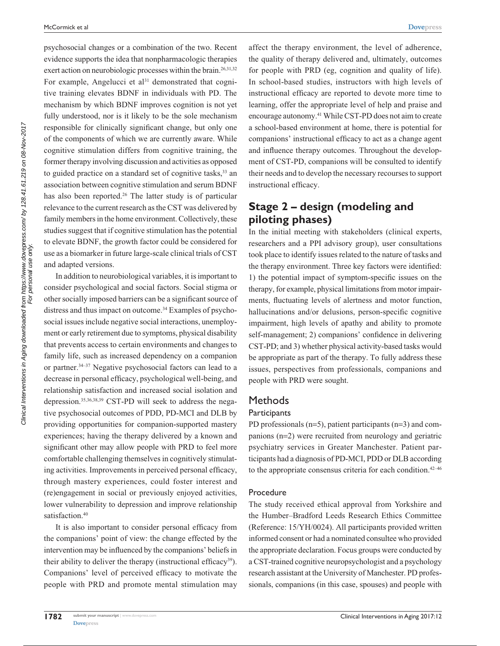psychosocial changes or a combination of the two. Recent evidence supports the idea that nonpharmacologic therapies exert action on neurobiologic processes within the brain.<sup>26,31,32</sup> For example, Angelucci et  $al<sup>31</sup>$  demonstrated that cognitive training elevates BDNF in individuals with PD. The mechanism by which BDNF improves cognition is not yet fully understood, nor is it likely to be the sole mechanism responsible for clinically significant change, but only one of the components of which we are currently aware. While cognitive stimulation differs from cognitive training, the former therapy involving discussion and activities as opposed to guided practice on a standard set of cognitive tasks,<sup>33</sup> an association between cognitive stimulation and serum BDNF has also been reported.<sup>26</sup> The latter study is of particular relevance to the current research as the CST was delivered by family members in the home environment. Collectively, these studies suggest that if cognitive stimulation has the potential to elevate BDNF, the growth factor could be considered for use as a biomarker in future large-scale clinical trials of CST and adapted versions.

In addition to neurobiological variables, it is important to consider psychological and social factors. Social stigma or other socially imposed barriers can be a significant source of distress and thus impact on outcome.<sup>34</sup> Examples of psychosocial issues include negative social interactions, unemployment or early retirement due to symptoms, physical disability that prevents access to certain environments and changes to family life, such as increased dependency on a companion or partner.<sup>34-37</sup> Negative psychosocial factors can lead to a decrease in personal efficacy, psychological well-being, and relationship satisfaction and increased social isolation and depression.35,36,38,39 CST-PD will seek to address the negative psychosocial outcomes of PDD, PD-MCI and DLB by providing opportunities for companion-supported mastery experiences; having the therapy delivered by a known and significant other may allow people with PRD to feel more comfortable challenging themselves in cognitively stimulating activities. Improvements in perceived personal efficacy, through mastery experiences, could foster interest and (re)engagement in social or previously enjoyed activities, lower vulnerability to depression and improve relationship satisfaction.<sup>40</sup>

It is also important to consider personal efficacy from the companions' point of view: the change effected by the intervention may be influenced by the companions' beliefs in their ability to deliver the therapy (instructional efficacy<sup>39</sup>). Companions' level of perceived efficacy to motivate the people with PRD and promote mental stimulation may affect the therapy environment, the level of adherence, the quality of therapy delivered and, ultimately, outcomes for people with PRD (eg, cognition and quality of life). In school-based studies, instructors with high levels of instructional efficacy are reported to devote more time to learning, offer the appropriate level of help and praise and encourage autonomy.41 While CST-PD does not aim to create a school-based environment at home, there is potential for companions' instructional efficacy to act as a change agent and influence therapy outcomes. Throughout the development of CST-PD, companions will be consulted to identify their needs and to develop the necessary recourses to support instructional efficacy.

# **Stage 2 – design (modeling and piloting phases)**

In the initial meeting with stakeholders (clinical experts, researchers and a PPI advisory group), user consultations took place to identify issues related to the nature of tasks and the therapy environment. Three key factors were identified: 1) the potential impact of symptom-specific issues on the therapy, for example, physical limitations from motor impairments, fluctuating levels of alertness and motor function, hallucinations and/or delusions, person-specific cognitive impairment, high levels of apathy and ability to promote self-management; 2) companions' confidence in delivering CST-PD; and 3) whether physical activity-based tasks would be appropriate as part of the therapy. To fully address these issues, perspectives from professionals, companions and people with PRD were sought.

## **Methods**

## **Participants**

PD professionals (n=5), patient participants (n=3) and companions (n=2) were recruited from neurology and geriatric psychiatry services in Greater Manchester. Patient participants had a diagnosis of PD-MCI, PDD or DLB according to the appropriate consensus criteria for each condition.<sup>42-46</sup>

## Procedure

The study received ethical approval from Yorkshire and the Humber–Bradford Leeds Research Ethics Committee (Reference: 15/YH/0024). All participants provided written informed consent or had a nominated consultee who provided the appropriate declaration. Focus groups were conducted by a CST-trained cognitive neuropsychologist and a psychology research assistant at the University of Manchester. PD professionals, companions (in this case, spouses) and people with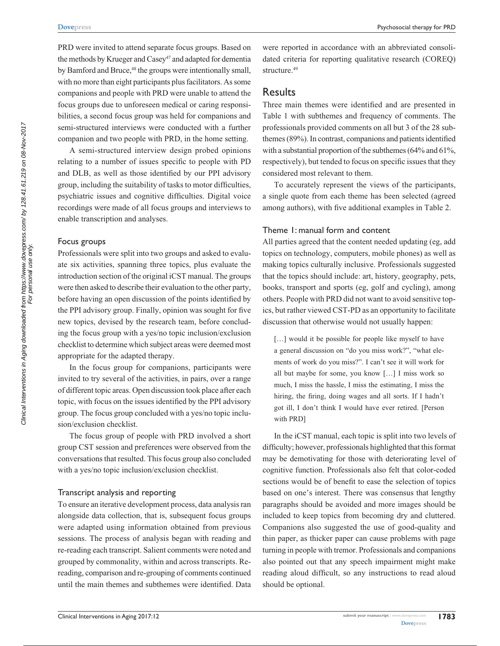PRD were invited to attend separate focus groups. Based on the methods by Krueger and Casey<sup>47</sup> and adapted for dementia by Bamford and Bruce,<sup>48</sup> the groups were intentionally small, with no more than eight participants plus facilitators. As some companions and people with PRD were unable to attend the focus groups due to unforeseen medical or caring responsibilities, a second focus group was held for companions and semi-structured interviews were conducted with a further companion and two people with PRD, in the home setting.

A semi-structured interview design probed opinions relating to a number of issues specific to people with PD and DLB, as well as those identified by our PPI advisory group, including the suitability of tasks to motor difficulties, psychiatric issues and cognitive difficulties. Digital voice recordings were made of all focus groups and interviews to enable transcription and analyses.

#### Focus groups

Professionals were split into two groups and asked to evaluate six activities, spanning three topics, plus evaluate the introduction section of the original iCST manual. The groups were then asked to describe their evaluation to the other party, before having an open discussion of the points identified by the PPI advisory group. Finally, opinion was sought for five new topics, devised by the research team, before concluding the focus group with a yes/no topic inclusion/exclusion checklist to determine which subject areas were deemed most appropriate for the adapted therapy.

In the focus group for companions, participants were invited to try several of the activities, in pairs, over a range of different topic areas. Open discussion took place after each topic, with focus on the issues identified by the PPI advisory group. The focus group concluded with a yes/no topic inclusion/exclusion checklist.

The focus group of people with PRD involved a short group CST session and preferences were observed from the conversations that resulted. This focus group also concluded with a yes/no topic inclusion/exclusion checklist.

#### Transcript analysis and reporting

To ensure an iterative development process, data analysis ran alongside data collection, that is, subsequent focus groups were adapted using information obtained from previous sessions. The process of analysis began with reading and re-reading each transcript. Salient comments were noted and grouped by commonality, within and across transcripts. Rereading, comparison and re-grouping of comments continued until the main themes and subthemes were identified. Data were reported in accordance with an abbreviated consolidated criteria for reporting qualitative research (COREQ) structure.<sup>49</sup>

## **Results**

Three main themes were identified and are presented in Table 1 with subthemes and frequency of comments. The professionals provided comments on all but 3 of the 28 subthemes (89%). In contrast, companions and patients identified with a substantial proportion of the subthemes (64% and 61%, respectively), but tended to focus on specific issues that they considered most relevant to them.

To accurately represent the views of the participants, a single quote from each theme has been selected (agreed among authors), with five additional examples in Table 2.

#### Theme 1: manual form and content

All parties agreed that the content needed updating (eg, add topics on technology, computers, mobile phones) as well as making topics culturally inclusive. Professionals suggested that the topics should include: art, history, geography, pets, books, transport and sports (eg, golf and cycling), among others. People with PRD did not want to avoid sensitive topics, but rather viewed CST-PD as an opportunity to facilitate discussion that otherwise would not usually happen:

[...] would it be possible for people like myself to have a general discussion on "do you miss work?", "what elements of work do you miss?". I can't see it will work for all but maybe for some, you know […] I miss work so much, I miss the hassle, I miss the estimating, I miss the hiring, the firing, doing wages and all sorts. If I hadn't got ill, I don't think I would have ever retired. [Person with PRD]

In the iCST manual, each topic is split into two levels of difficulty; however, professionals highlighted that this format may be demotivating for those with deteriorating level of cognitive function. Professionals also felt that color-coded sections would be of benefit to ease the selection of topics based on one's interest. There was consensus that lengthy paragraphs should be avoided and more images should be included to keep topics from becoming dry and cluttered. Companions also suggested the use of good-quality and thin paper, as thicker paper can cause problems with page turning in people with tremor. Professionals and companions also pointed out that any speech impairment might make reading aloud difficult, so any instructions to read aloud should be optional.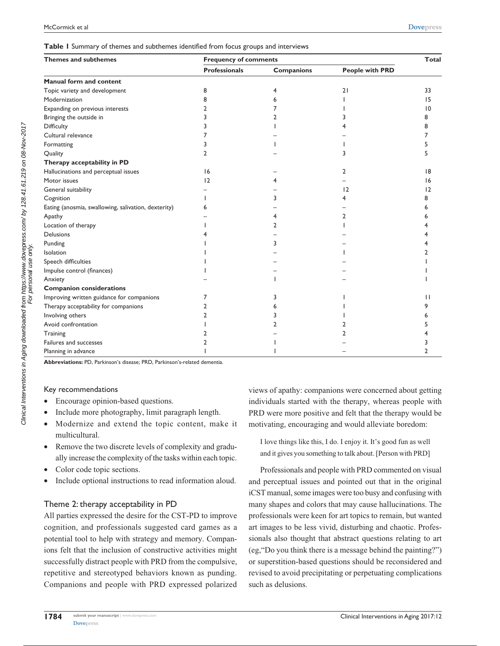**Table 1** Summary of themes and subthemes identified from focus groups and interviews

| Themes and subthemes                                | <b>Frequency of comments</b> |                   |                        | <b>Total</b> |
|-----------------------------------------------------|------------------------------|-------------------|------------------------|--------------|
|                                                     | <b>Professionals</b>         | <b>Companions</b> | <b>People with PRD</b> |              |
| Manual form and content                             |                              |                   |                        |              |
| Topic variety and development                       | 8                            | 4                 | 21                     | 33           |
| Modernization                                       |                              |                   |                        | 15           |
| Expanding on previous interests                     |                              |                   |                        | 10           |
| Bringing the outside in                             |                              | 2                 |                        | 8            |
| Difficulty                                          |                              |                   |                        |              |
| Cultural relevance                                  |                              |                   |                        |              |
| Formatting                                          |                              |                   |                        |              |
| Quality                                             | 2                            |                   |                        |              |
| Therapy acceptability in PD                         |                              |                   |                        |              |
| Hallucinations and perceptual issues                | 16                           |                   | 2                      | 18           |
| Motor issues                                        | 12                           |                   |                        | 16           |
| General suitability                                 |                              |                   | 12                     | 12           |
| Cognition                                           |                              | 3                 |                        | 8            |
| Eating (anosmia, swallowing, salivation, dexterity) |                              |                   |                        |              |
| Apathy                                              |                              |                   | 2                      |              |
| Location of therapy                                 |                              | 2                 |                        |              |
| <b>Delusions</b>                                    |                              |                   |                        |              |
| Punding                                             |                              | 3                 |                        |              |
| Isolation                                           |                              |                   |                        |              |
| Speech difficulties                                 |                              |                   |                        |              |
| Impulse control (finances)                          |                              |                   |                        |              |
| Anxiety                                             |                              |                   |                        |              |
| <b>Companion considerations</b>                     |                              |                   |                        |              |
| Improving written guidance for companions           |                              | 3                 |                        | Ш            |
| Therapy acceptability for companions                |                              |                   |                        |              |
| Involving others                                    |                              |                   |                        |              |
| Avoid confrontation                                 |                              |                   |                        |              |
| Training                                            |                              |                   |                        |              |
| Failures and successes                              |                              |                   |                        |              |
| Planning in advance                                 |                              |                   |                        | 2            |

**Abbreviations:** PD, Parkinson's disease; PRD, Parkinson's-related dementia.

## Key recommendations

- Encourage opinion-based questions.
- Include more photography, limit paragraph length.
- Modernize and extend the topic content, make it multicultural.
- Remove the two discrete levels of complexity and gradually increase the complexity of the tasks within each topic.
- Color code topic sections.
- Include optional instructions to read information aloud.

## Theme 2: therapy acceptability in PD

All parties expressed the desire for the CST-PD to improve cognition, and professionals suggested card games as a potential tool to help with strategy and memory. Companions felt that the inclusion of constructive activities might successfully distract people with PRD from the compulsive, repetitive and stereotyped behaviors known as punding. Companions and people with PRD expressed polarized

views of apathy: companions were concerned about getting individuals started with the therapy, whereas people with PRD were more positive and felt that the therapy would be motivating, encouraging and would alleviate boredom:

I love things like this, I do. I enjoy it. It's good fun as well and it gives you something to talk about. [Person with PRD]

Professionals and people with PRD commented on visual and perceptual issues and pointed out that in the original iCST manual, some images were too busy and confusing with many shapes and colors that may cause hallucinations. The professionals were keen for art topics to remain, but wanted art images to be less vivid, disturbing and chaotic. Professionals also thought that abstract questions relating to art (eg,"Do you think there is a message behind the painting?") or superstition-based questions should be reconsidered and revised to avoid precipitating or perpetuating complications such as delusions.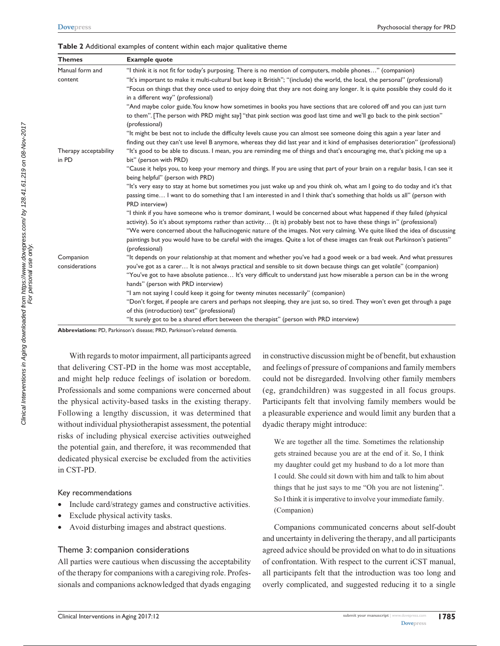#### **Table 2** Additional examples of content within each major qualitative theme

| <b>Themes</b>                  | <b>Example quote</b>                                                                                                                                                                                                                                                                                                                                                                                                                                                                                                             |
|--------------------------------|----------------------------------------------------------------------------------------------------------------------------------------------------------------------------------------------------------------------------------------------------------------------------------------------------------------------------------------------------------------------------------------------------------------------------------------------------------------------------------------------------------------------------------|
| Manual form and                | "I think it is not fit for today's purposing. There is no mention of computers, mobile phones" (companion)                                                                                                                                                                                                                                                                                                                                                                                                                       |
| content                        | "It's important to make it multi-cultural but keep it British"; "(include) the world, the local, the personal" (professional)                                                                                                                                                                                                                                                                                                                                                                                                    |
|                                | "Focus on things that they once used to enjoy doing that they are not doing any longer. It is quite possible they could do it<br>in a different way" (professional)                                                                                                                                                                                                                                                                                                                                                              |
|                                | "And maybe color guide. You know how sometimes in books you have sections that are colored off and you can just turn                                                                                                                                                                                                                                                                                                                                                                                                             |
|                                | to them". [The person with PRD might say] "that pink section was good last time and we'll go back to the pink section"<br>(professional)                                                                                                                                                                                                                                                                                                                                                                                         |
|                                | "It might be best not to include the difficulty levels cause you can almost see someone doing this again a year later and                                                                                                                                                                                                                                                                                                                                                                                                        |
| Therapy acceptability<br>in PD | finding out they can't use level B anymore, whereas they did last year and it kind of emphasises deterioration" (professional)<br>"It's good to be able to discuss. I mean, you are reminding me of things and that's encouraging me, that's picking me up a<br>bit" (person with PRD)                                                                                                                                                                                                                                           |
|                                | "Cause it helps you, to keep your memory and things. If you are using that part of your brain on a regular basis, I can see it<br>being helpful" (person with PRD)                                                                                                                                                                                                                                                                                                                                                               |
|                                | "It's very easy to stay at home but sometimes you just wake up and you think oh, what am I going to do today and it's that<br>passing time I want to do something that I am interested in and I think that's something that holds us all" (person with<br>PRD interview)                                                                                                                                                                                                                                                         |
|                                | "I think if you have someone who is tremor dominant, I would be concerned about what happened if they failed (physical<br>activity). So it's about symptoms rather than activity (It is) probably best not to have these things in" (professional)<br>"We were concerned about the hallucinogenic nature of the images. Not very calming. We quite liked the idea of discussing<br>paintings but you would have to be careful with the images. Quite a lot of these images can freak out Parkinson's patients"<br>(professional) |
| Companion                      | "It depends on your relationship at that moment and whether you've had a good week or a bad week. And what pressures                                                                                                                                                                                                                                                                                                                                                                                                             |
| considerations                 | you've got as a carer It is not always practical and sensible to sit down because things can get volatile" (companion)                                                                                                                                                                                                                                                                                                                                                                                                           |
|                                | "You've got to have absolute patience It's very difficult to understand just how miserable a person can be in the wrong<br>hands" (person with PRD interview)                                                                                                                                                                                                                                                                                                                                                                    |
|                                | "I am not saying I could keep it going for twenty minutes necessarily" (companion)                                                                                                                                                                                                                                                                                                                                                                                                                                               |
|                                | "Don't forget, if people are carers and perhaps not sleeping, they are just so, so tired. They won't even get through a page                                                                                                                                                                                                                                                                                                                                                                                                     |
|                                | of this (introduction) text" (professional)                                                                                                                                                                                                                                                                                                                                                                                                                                                                                      |
|                                | "It surely got to be a shared effort between the therapist" (person with PRD interview)                                                                                                                                                                                                                                                                                                                                                                                                                                          |

**Abbreviations:** PD, Parkinson's disease; PRD, Parkinson's-related dementia.

With regards to motor impairment, all participants agreed that delivering CST-PD in the home was most acceptable, and might help reduce feelings of isolation or boredom. Professionals and some companions were concerned about the physical activity-based tasks in the existing therapy. Following a lengthy discussion, it was determined that without individual physiotherapist assessment, the potential risks of including physical exercise activities outweighed the potential gain, and therefore, it was recommended that dedicated physical exercise be excluded from the activities in CST-PD.

## Key recommendations

- Include card/strategy games and constructive activities.
- Exclude physical activity tasks.
- Avoid disturbing images and abstract questions.

## Theme 3: companion considerations

All parties were cautious when discussing the acceptability of the therapy for companions with a caregiving role. Professionals and companions acknowledged that dyads engaging in constructive discussion might be of benefit, but exhaustion and feelings of pressure of companions and family members could not be disregarded. Involving other family members (eg, grandchildren) was suggested in all focus groups. Participants felt that involving family members would be a pleasurable experience and would limit any burden that a dyadic therapy might introduce:

We are together all the time. Sometimes the relationship gets strained because you are at the end of it. So, I think my daughter could get my husband to do a lot more than I could. She could sit down with him and talk to him about things that he just says to me "Oh you are not listening". So I think it is imperative to involve your immediate family. (Companion)

Companions communicated concerns about self-doubt and uncertainty in delivering the therapy, and all participants agreed advice should be provided on what to do in situations of confrontation. With respect to the current iCST manual, all participants felt that the introduction was too long and overly complicated, and suggested reducing it to a single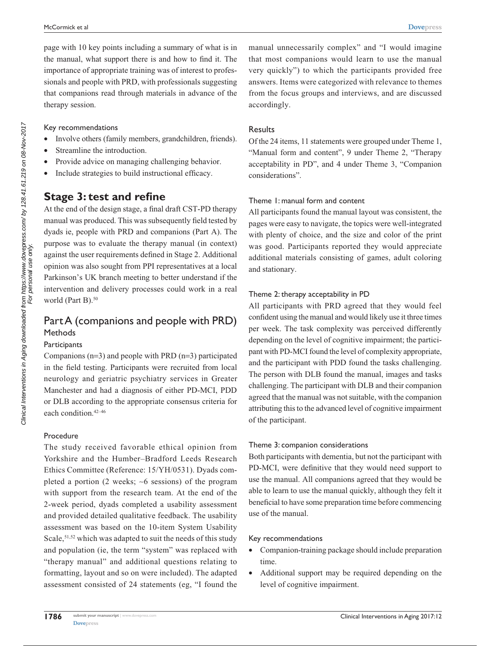page with 10 key points including a summary of what is in the manual, what support there is and how to find it. The importance of appropriate training was of interest to professionals and people with PRD, with professionals suggesting that companions read through materials in advance of the therapy session.

Key recommendations

- Involve others (family members, grandchildren, friends).
- Streamline the introduction.
- Provide advice on managing challenging behavior.
- Include strategies to build instructional efficacy.

# **Stage 3: test and refine**

At the end of the design stage, a final draft CST-PD therapy manual was produced. This was subsequently field tested by dyads ie, people with PRD and companions (Part A). The purpose was to evaluate the therapy manual (in context) against the user requirements defined in Stage 2. Additional opinion was also sought from PPI representatives at a local Parkinson's UK branch meeting to better understand if the intervention and delivery processes could work in a real world (Part B).<sup>50</sup>

# Part A (companions and people with PRD) Methods

## **Participants**

Companions  $(n=3)$  and people with PRD  $(n=3)$  participated in the field testing. Participants were recruited from local neurology and geriatric psychiatry services in Greater Manchester and had a diagnosis of either PD-MCI, PDD or DLB according to the appropriate consensus criteria for each condition.<sup>42-46</sup>

## Procedure

The study received favorable ethical opinion from Yorkshire and the Humber–Bradford Leeds Research Ethics Committee (Reference: 15/YH/0531). Dyads completed a portion  $(2 \text{ weeks}; -6 \text{ sessions})$  of the program with support from the research team. At the end of the 2-week period, dyads completed a usability assessment and provided detailed qualitative feedback. The usability assessment was based on the 10-item System Usability Scale,<sup>51,52</sup> which was adapted to suit the needs of this study and population (ie, the term "system" was replaced with "therapy manual" and additional questions relating to formatting, layout and so on were included). The adapted assessment consisted of 24 statements (eg, "I found the manual unnecessarily complex" and "I would imagine that most companions would learn to use the manual very quickly") to which the participants provided free answers. Items were categorized with relevance to themes from the focus groups and interviews, and are discussed accordingly.

## **Results**

Of the 24 items, 11 statements were grouped under Theme 1, "Manual form and content", 9 under Theme 2, "Therapy acceptability in PD", and 4 under Theme 3, "Companion considerations".

## Theme 1: manual form and content

All participants found the manual layout was consistent, the pages were easy to navigate, the topics were well-integrated with plenty of choice, and the size and color of the print was good. Participants reported they would appreciate additional materials consisting of games, adult coloring and stationary.

## Theme 2: therapy acceptability in PD

All participants with PRD agreed that they would feel confident using the manual and would likely use it three times per week. The task complexity was perceived differently depending on the level of cognitive impairment; the participant with PD-MCI found the level of complexity appropriate, and the participant with PDD found the tasks challenging. The person with DLB found the manual, images and tasks challenging. The participant with DLB and their companion agreed that the manual was not suitable, with the companion attributing this to the advanced level of cognitive impairment of the participant.

## Theme 3: companion considerations

Both participants with dementia, but not the participant with PD-MCI, were definitive that they would need support to use the manual. All companions agreed that they would be able to learn to use the manual quickly, although they felt it beneficial to have some preparation time before commencing use of the manual.

## Key recommendations

- Companion-training package should include preparation time.
- Additional support may be required depending on the level of cognitive impairment.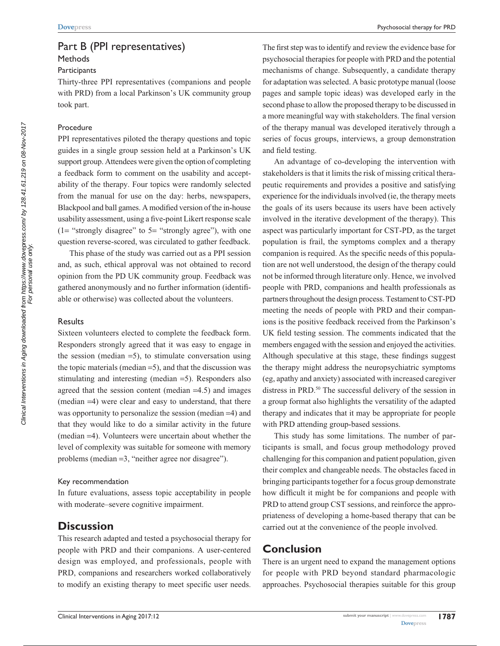# Part B (PPI representatives) **Methods**

#### **Participants**

Thirty-three PPI representatives (companions and people with PRD) from a local Parkinson's UK community group took part.

#### Procedure

PPI representatives piloted the therapy questions and topic guides in a single group session held at a Parkinson's UK support group. Attendees were given the option of completing a feedback form to comment on the usability and acceptability of the therapy. Four topics were randomly selected from the manual for use on the day: herbs, newspapers, Blackpool and ball games. A modified version of the in-house usability assessment, using a five-point Likert response scale  $(1=$  "strongly disagree" to  $5=$  "strongly agree"), with one question reverse-scored, was circulated to gather feedback.

This phase of the study was carried out as a PPI session and, as such, ethical approval was not obtained to record opinion from the PD UK community group. Feedback was gathered anonymously and no further information (identifiable or otherwise) was collected about the volunteers.

#### **Results**

Sixteen volunteers elected to complete the feedback form. Responders strongly agreed that it was easy to engage in the session (median  $=$  5), to stimulate conversation using the topic materials (median =5), and that the discussion was stimulating and interesting (median =5). Responders also agreed that the session content (median =4.5) and images (median =4) were clear and easy to understand, that there was opportunity to personalize the session (median =4) and that they would like to do a similar activity in the future (median =4). Volunteers were uncertain about whether the level of complexity was suitable for someone with memory problems (median =3, "neither agree nor disagree").

#### Key recommendation

In future evaluations, assess topic acceptability in people with moderate–severe cognitive impairment.

## **Discussion**

This research adapted and tested a psychosocial therapy for people with PRD and their companions. A user-centered design was employed, and professionals, people with PRD, companions and researchers worked collaboratively to modify an existing therapy to meet specific user needs.

The first step was to identify and review the evidence base for psychosocial therapies for people with PRD and the potential mechanisms of change. Subsequently, a candidate therapy for adaptation was selected. A basic prototype manual (loose pages and sample topic ideas) was developed early in the second phase to allow the proposed therapy to be discussed in a more meaningful way with stakeholders. The final version of the therapy manual was developed iteratively through a series of focus groups, interviews, a group demonstration and field testing.

An advantage of co-developing the intervention with stakeholders is that it limits the risk of missing critical therapeutic requirements and provides a positive and satisfying experience for the individuals involved (ie, the therapy meets the goals of its users because its users have been actively involved in the iterative development of the therapy). This aspect was particularly important for CST-PD, as the target population is frail, the symptoms complex and a therapy companion is required. As the specific needs of this population are not well understood, the design of the therapy could not be informed through literature only. Hence, we involved people with PRD, companions and health professionals as partners throughout the design process. Testament to CST-PD meeting the needs of people with PRD and their companions is the positive feedback received from the Parkinson's UK field testing session. The comments indicated that the members engaged with the session and enjoyed the activities. Although speculative at this stage, these findings suggest the therapy might address the neuropsychiatric symptoms (eg, apathy and anxiety) associated with increased caregiver distress in PRD.<sup>50</sup> The successful delivery of the session in a group format also highlights the versatility of the adapted therapy and indicates that it may be appropriate for people with PRD attending group-based sessions.

This study has some limitations. The number of participants is small, and focus group methodology proved challenging for this companion and patient population, given their complex and changeable needs. The obstacles faced in bringing participants together for a focus group demonstrate how difficult it might be for companions and people with PRD to attend group CST sessions, and reinforce the appropriateness of developing a home-based therapy that can be carried out at the convenience of the people involved.

## **Conclusion**

There is an urgent need to expand the management options for people with PRD beyond standard pharmacologic approaches. Psychosocial therapies suitable for this group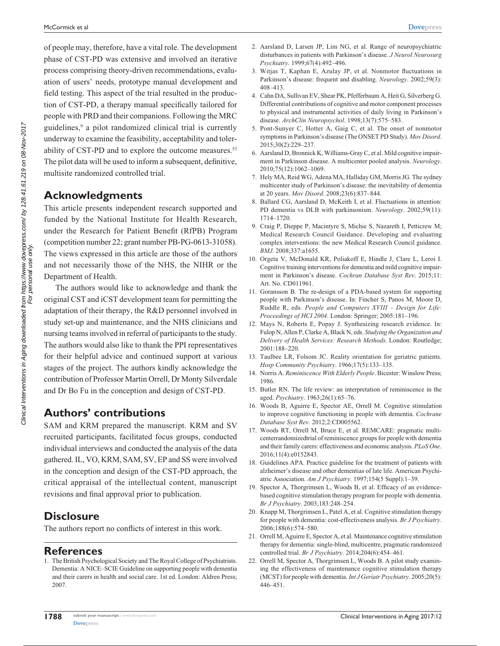of people may, therefore, have a vital role. The development phase of CST-PD was extensive and involved an iterative process comprising theory-driven recommendations, evaluation of users' needs, prototype manual development and field testing. This aspect of the trial resulted in the production of CST-PD, a therapy manual specifically tailored for people with PRD and their companions. Following the MRC guidelines,<sup>9</sup> a pilot randomized clinical trial is currently underway to examine the feasibility, acceptability and tolerability of CST-PD and to explore the outcome measures.<sup>53</sup> The pilot data will be used to inform a subsequent, definitive, multisite randomized controlled trial.

## **Acknowledgments**

This article presents independent research supported and funded by the National Institute for Health Research, under the Research for Patient Benefit (RfPB) Program (competition number 22; grant number PB-PG-0613-31058). The views expressed in this article are those of the authors and not necessarily those of the NHS, the NIHR or the Department of Health.

The authors would like to acknowledge and thank the original CST and iCST development team for permitting the adaptation of their therapy, the R&D personnel involved in study set-up and maintenance, and the NHS clinicians and nursing teams involved in referral of participants to the study. The authors would also like to thank the PPI representatives for their helpful advice and continued support at various stages of the project. The authors kindly acknowledge the contribution of Professor Martin Orrell, Dr Monty Silverdale and Dr Bo Fu in the conception and design of CST-PD.

# **Authors' contributions**

SAM and KRM prepared the manuscript. KRM and SV recruited participants, facilitated focus groups, conducted individual interviews and conducted the analysis of the data gathered. IL, VO, KRM, SAM, SV, EP and SS were involved in the conception and design of the CST-PD approach, the critical appraisal of the intellectual content, manuscript revisions and final approval prior to publication.

# **Disclosure**

The authors report no conflicts of interest in this work.

## **References**

1. The British Psychological Society and The Royal College of Psychiatrists. Dementia: A NICE–SCIE Guideline on supporting people with dementia and their carers in health and social care. 1st ed. London: Aldren Press; 2007.

- 2. Aarsland D, Larsen JP, Lim NG, et al. Range of neuropsychiatric disturbances in patients with Parkinson's disease. *J Neurol Neurosurg Psychiatry*. 1999;67(4):492–496.
- 3. Witjas T, Kaphan E, Azulay JP, et al. Nonmotor fluctuations in Parkinson's disease: frequent and disabling. *Neurology*. 2002;59(3): 408–413.
- 4. Cahn DA, Sullivan EV, Shear PK, Pfefferbaum A, Heit G, Silverberg G. Differential contributions of cognitive and motor component processes to physical and instrumental activities of daily living in Parkinson's disease. *ArchClin Neuropsychol*. 1998;13(7):575–583.
- 5. Pont-Sunyer C, Hotter A, Gaig C, et al. The onset of nonmotor symptoms in Parkinson's disease (The ONSET PD Study). *Mov Disord*. 2015;30(2):229–237.
- 6. Aarsland D, Bronnick K, Williams-Gray C, et al. Mild cognitive impairment in Parkinson disease. A multicenter pooled analysis. *Neurology*. 2010;75(12):1062–1069.
- 7. Hely MA, Reid WG, Adena MA, Halliday GM, Morris JG. The sydney multicenter study of Parkinson's disease: the inevitability of dementia at 20 years. *Mov Disord*. 2008;23(6):837–844.
- 8. Ballard CG, Aarsland D, McKeith I, et al. Fluctuations in attention: PD dementia vs DLB with parkinsonism. *Neurology*. 2002;59(11): 1714–1720.
- 9. Craig P, Dieppe P, Macintyre S, Michie S, Nazareth I, Petticrew M; Medical Research Council Guidance. Developing and evaluating complex interventions: the new Medical Research Council guidance. *BMJ*. 2008;337:a1655.
- 10. Orgeta V, McDonald KR, Poliakoff E, Hindle J, Clare L, Leroi I. Cognitive training interventions for dementia and mild cognitive impairment in Parkinson's disease. *Cochran Database Syst Rev*. 2015;11: Art. No. CD011961.
- 11. Goransson B. The re-design of a PDA-based system for supporting people with Parkinson's disease. In: Fincher S, Panos M, Moore D, Ruddle R, eds. *People and Computers XVIII – Design for Life: Proceedings of HCI 2004*. London: Springer; 2005:181–196.
- 12. Mays N, Roberts E, Popay J. Synthesizing research evidence. In: Fulop N, Allen P, Clarke A, Black N, eds. *Studying the Organization and Delivery of Health Services: Research Methods*. London: Routledge; 2001:188–220.
- 13. Taulbee LR, Folsom JC. Reality orientation for geriatric patients. *Hosp Community Psychiatry*. 1966;17(5):133–135.
- 14. Norris A. *Reminiscence With Elderly People*. Bicester: Winslow Press; 1986.
- 15. Butler RN. The life review: an interpretation of reminiscence in the aged. *Psychiatry*. 1963;26(1):65–76.
- 16. Woods B, Aguirre E, Spector AE, Orrell M. Cognitive stimulation to improve cognitive functioning in people with dementia. *Cochrane Database Syst Rev*. 2012;2:CD005562.
- 17. Woods RT, Orrell M, Bruce E, et al. REMCARE: pragmatic multicenterrandomizedtrial of reminiscence groups for people with dementia and their family carers: effectiveness and economic analysis. *PLoS One*. 2016;11(4):e0152843.
- 18. Guidelines APA. Practice guideline for the treatment of patients with alzheimer's disease and other dementias of late life. American Psychiatric Association. *Am J Psychiatry*. 1997;154(5 Suppl):1–39.
- 19. Spector A, Thorgrimsen L, Woods B, et al. Efficacy of an evidencebased cognitive stimulation therapy program for people with dementia. *Br J Psychiatry*. 2003;183:248–254.
- 20. Knapp M, Thorgrimsen L, Patel A, et al. Cognitive stimulation therapy for people with dementia: cost-effectiveness analysis. *Br J Psychiatry*. 2006;188(6):574–580.
- 21. Orrell M, Aguirre E, Spector A, et al. Maintenance cognitive stimulation therapy for dementia: single-blind, multicentre, pragmatic randomized controlled trial. *Br J Psychiatry*. 2014;204(6):454–461.
- 22. Orrell M, Spector A, Thorgrimsen L, Woods B. A pilot study examining the effectiveness of maintenance cognitive stimulation therapy (MCST) for people with dementia. *Int J Geriatr Psychiatry*. 2005;20(5): 446–451.